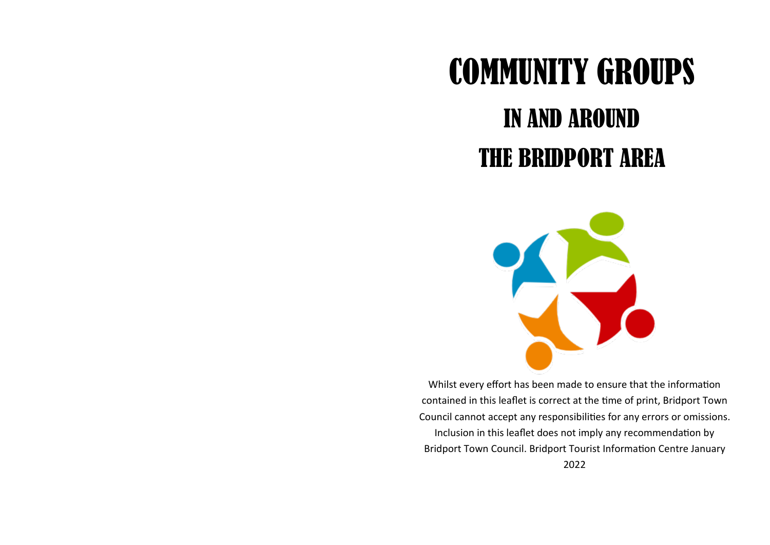## COMMUNITY GROUPS

## IN AND AROUND THE BRIDPORT AREA



Whilst every effort has been made to ensure that the information contained in this leaflet is correct at the time of print, Bridport Town Council cannot accept any responsibilities for any errors or omissions. Inclusion in this leaflet does not imply any recommendation by Bridport Town Council. Bridport Tourist Information Centre January 2022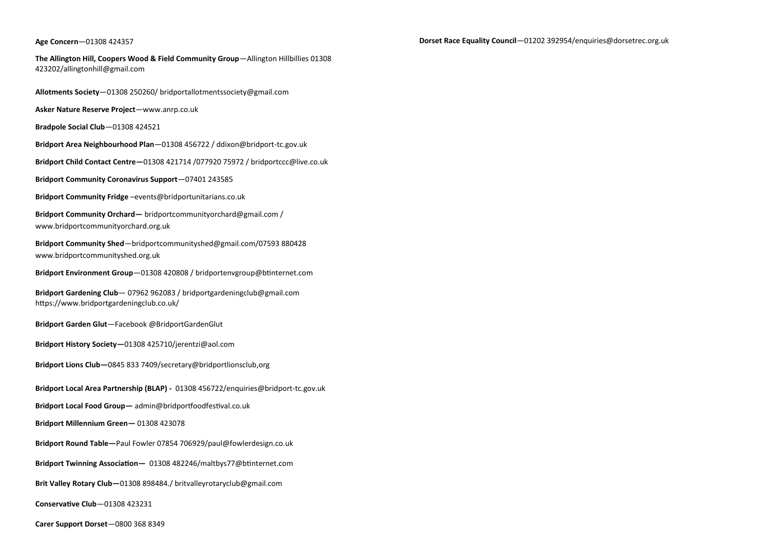## **Age Concern**—01308 424357

**The Allington Hill, Coopers Wood & Field Community Group**—Allington Hillbillies 01308 423202[/allingtonhill@gmail.com](mailto:allingtonhill@gmail.com) 

**Allotments Society**—01308 250260/ bridportallotmentssociety@gmail.com

**Asker Nature Reserve Project**[—www.anrp.co.uk](https://www.anrp.co.uk/)

**Bradpole Social Club**—01308 424521

**Bridport Area Neighbourhood Plan**—01308 456722 / ddixon@bridport-tc.gov.uk

**Bridport Child Contact Centre—**01308 421714 /077920 75972 / bridportccc@live.co.uk

**Bridport Community Coronavirus Support**—07401 243585

**Bridport Community Fridge** –events@bridportunitarians.co.uk

**Bridport Community Orchard—** bridportcommunityorchard@gmail.com / www.bridportcommunityorchard.org.uk

**Bridport Community Shed**—bridportcommunityshed@gmail.com/07593 880428 www.bridportcommunityshed.org.uk

**Bridport Environment Group**—01308 420808 / [bridportenvgroup@btinternet.com](mailto:bridportenvgroup@btinternet.com)

**Bridport Gardening Club**— 07962 962083 / bridportgardeningclub@gmail.com https://www.bridportgardeningclub.co.uk/

**Bridport Garden Glut**—Facebook @BridportGardenGlut

**Bridport History Society—**01308 425710/jerentzi@aol.com

**Bridport Lions Club—**0845 833 7409/secretary@bridportlionsclub,org

**Bridport Local Area Partnership (BLAP) -** 01308 456722/enquiries@bridport-tc.gov.uk

**Bridport Local Food Group—** admin@bridportfoodfestival.co.uk

**Bridport Millennium Green—** 01308 423078

**Bridport Round Table—**Paul Fowler 07854 706929/paul@fowlerdesign.co.uk

**Bridport Twinning Association—** 01308 482246/maltbys77@btinternet.com

**Brit Valley Rotary Club—**01308 898484./ britvalleyrotaryclub@gmail.com

**Conservative Club**—01308 423231

**Carer Support Dorset**—0800 368 8349